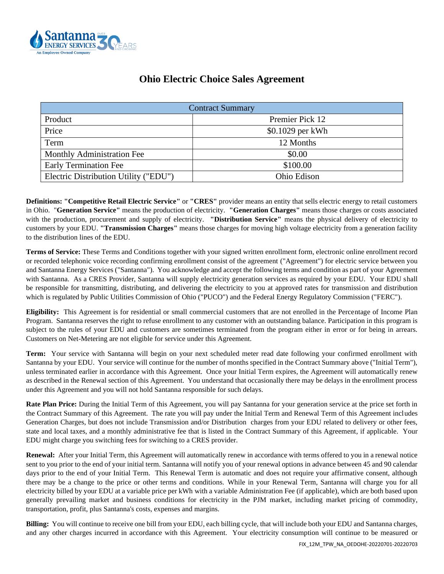

| <b>Ohio Electric Choice Sales Agreement</b> |  |  |  |
|---------------------------------------------|--|--|--|
|---------------------------------------------|--|--|--|

| <b>Contract Summary</b>               |                  |  |  |
|---------------------------------------|------------------|--|--|
| Product                               | Premier Pick 12  |  |  |
| Price                                 | \$0.1029 per kWh |  |  |
| Term                                  | 12 Months        |  |  |
| Monthly Administration Fee            | \$0.00           |  |  |
| <b>Early Termination Fee</b>          | \$100.00         |  |  |
| Electric Distribution Utility ("EDU") | Ohio Edison      |  |  |

**Definitions: "Competitive Retail Electric Service"** or **"CRES"** provider means an entity that sells electric energy to retail customers in Ohio. "**Generation Service"** means the production of electricity. **"Generation Charges"** means those charges or costs associated with the production, procurement and supply of electricity. **"Distribution Service"** means the physical delivery of electricity to customers by your EDU. **"Transmission Charges"** means those charges for moving high voltage electricity from a generation facility to the distribution lines of the EDU.

**Terms of Service:** These Terms and Conditions together with your signed written enrollment form, electronic online enrollment record or recorded telephonic voice recording confirming enrollment consist of the agreement ("Agreement") for electric service between you and Santanna Energy Services ("Santanna"). You acknowledge and accept the following terms and condition as part of your Agreement with Santanna. As a CRES Provider, Santanna will supply electricity generation services as required by your EDU. Your EDU shall be responsible for transmitting, distributing, and delivering the electricity to you at approved rates for transmission and distribution which is regulated by Public Utilities Commission of Ohio ("PUCO") and the Federal Energy Regulatory Commission ("FERC").

**Eligibility:** This Agreement is for residential or small commercial customers that are not enrolled in the Percentage of Income Plan Program. Santanna reserves the right to refuse enrollment to any customer with an outstanding balance. Participation in this program is subject to the rules of your EDU and customers are sometimes terminated from the program either in error or for being in arrears. Customers on Net-Metering are not eligible for service under this Agreement.

**Term:** Your service with Santanna will begin on your next scheduled meter read date following your confirmed enrollment with Santanna by your EDU. Your service will continue for the number of months specified in the Contract Summary above ("Initial Term"), unless terminated earlier in accordance with this Agreement. Once your Initial Term expires, the Agreement will automatically renew as described in the Renewal section of this Agreement. You understand that occasionally there may be delays in the enrollment process under this Agreement and you will not hold Santanna responsible for such delays.

**Rate Plan Price:** During the Initial Term of this Agreement, you will pay Santanna for your generation service at the price set forth in the Contract Summary of this Agreement. The rate you will pay under the Initial Term and Renewal Term of this Agreement includes Generation Charges, but does not include Transmission and/or Distribution charges from your EDU related to delivery or other fees, state and local taxes, and a monthly administrative fee that is listed in the Contract Summary of this Agreement, if applicable. Your EDU might charge you switching fees for switching to a CRES provider.

**Renewal:** After your Initial Term, this Agreement will automatically renew in accordance with terms offered to you in a renewal notice sent to you prior to the end of your initial term. Santanna will notify you of your renewal options in advance between 45 and 90 calendar days prior to the end of your Initial Term. This Renewal Term is automatic and does not require your affirmative consent, although there may be a change to the price or other terms and conditions. While in your Renewal Term, Santanna will charge you for all electricity billed by your EDU at a variable price per kWh with a variable Administration Fee (if applicable), which are both based upon generally prevailing market and business conditions for electricity in the PJM market, including market pricing of commodity, transportation, profit, plus Santanna's costs, expenses and margins.

**Billing:** You will continue to receive one bill from your EDU, each billing cycle, that will include both your EDU and Santanna charges, and any other charges incurred in accordance with this Agreement. Your electricity consumption will continue to be measured or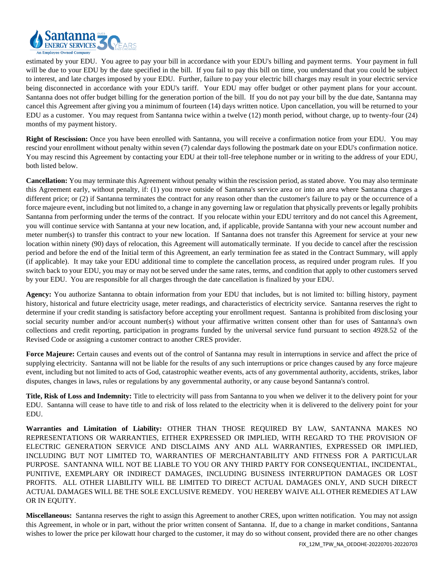

estimated by your EDU. You agree to pay your bill in accordance with your EDU's billing and payment terms. Your payment in full will be due to your EDU by the date specified in the bill. If you fail to pay this bill on time, you understand that you could be subject to interest, and late charges imposed by your EDU. Further, failure to pay your electric bill charges may result in your electric service being disconnected in accordance with your EDU's tariff. Your EDU may offer budget or other payment plans for your account. Santanna does not offer budget billing for the generation portion of the bill. If you do not pay your bill by the due date, Santanna may cancel this Agreement after giving you a minimum of fourteen (14) days written notice. Upon cancellation, you will be returned to your EDU as a customer. You may request from Santanna twice within a twelve (12) month period, without charge, up to twenty-four (24) months of my payment history.

**Right of Rescission:** Once you have been enrolled with Santanna, you will receive a confirmation notice from your EDU.You may rescind your enrollment without penalty within seven (7) calendar days following the postmark date on your EDU's confirmation notice. You may rescind this Agreement by contacting your EDU at their toll-free telephone number or in writing to the address of your EDU, both listed below.

**Cancellation:** You may terminate this Agreement without penalty within the rescission period, as stated above. You may also terminate this Agreement early, without penalty, if: (1) you move outside of Santanna's service area or into an area where Santanna charges a different price; or (2) if Santanna terminates the contract for any reason other than the customer's failure to pay or the occurrence of a force majeure event, including but not limited to, a change in any governing law or regulation that physically prevents or legally prohibits Santanna from performing under the terms of the contract. If you relocate within your EDU territory and do not cancel this Agreement, you will continue service with Santanna at your new location, and, if applicable, provide Santanna with your new account number and meter number(s) to transfer this contract to your new location. If Santanna does not transfer this Agreement for service at your new location within ninety (90) days of relocation, this Agreement will automatically terminate. If you decide to cancel after the rescission period and before the end of the Initial term of this Agreement, an early termination fee as stated in the Contract Summary, will apply (if applicable). It may take your EDU additional time to complete the cancellation process, as required under program rules. If you switch back to your EDU, you may or may not be served under the same rates, terms, and condition that apply to other customers served by your EDU. You are responsible for all charges through the date cancellation is finalized by your EDU.

**Agency:** You authorize Santanna to obtain information from your EDU that includes, but is not limited to: billing history, payment history, historical and future electricity usage, meter readings, and characteristics of electricity service. Santanna reserves the right to determine if your credit standing is satisfactory before accepting your enrollment request. Santanna is prohibited from disclosing your social security number and/or account number(s) without your affirmative written consent other than for uses of Santanna's own collections and credit reporting, participation in programs funded by the universal service fund pursuant to section 4928.52 of the Revised Code or assigning a customer contract to another CRES provider.

Force Majeure: Certain causes and events out of the control of Santanna may result in interruptions in service and affect the price of supplying electricity. Santanna will not be liable for the results of any such interruptions or price changes caused by any force majeure event, including but not limited to acts of God, catastrophic weather events, acts of any governmental authority, accidents, strikes, labor disputes, changes in laws, rules or regulations by any governmental authority, or any cause beyond Santanna's control.

**Title, Risk of Loss and Indemnity:** Title to electricity will pass from Santanna to you when we deliver it to the delivery point for your EDU. Santanna will cease to have title to and risk of loss related to the electricity when it is delivered to the delivery point for your EDU.

**Warranties and Limitation of Liability:** OTHER THAN THOSE REQUIRED BY LAW, SANTANNA MAKES NO REPRESENTATIONS OR WARRANTIES, EITHER EXPRESSED OR IMPLIED, WITH REGARD TO THE PROVISION OF ELECTRIC GENERATION SERVICE AND DISCLAIMS ANY AND ALL WARRANTIES, EXPRESSED OR IMPLIED, INCLUDING BUT NOT LIMITED TO, WARRANTIES OF MERCHANTABILITY AND FITNESS FOR A PARTICULAR PURPOSE. SANTANNA WILL NOT BE LIABLE TO YOU OR ANY THIRD PARTY FOR CONSEQUENTIAL, INCIDENTAL, PUNITIVE, EXEMPLARY OR INDIRECT DAMAGES, INCLUDING BUSINESS INTERRUPTION DAMAGES OR LOST PROFITS. ALL OTHER LIABILITY WILL BE LIMITED TO DIRECT ACTUAL DAMAGES ONLY, AND SUCH DIRECT ACTUAL DAMAGES WILL BE THE SOLE EXCLUSIVE REMEDY. YOU HEREBY WAIVE ALL OTHER REMEDIES AT LAW OR IN EQUITY.

**Miscellaneous:** Santanna reserves the right to assign this Agreement to another CRES, upon written notification. You may not assign this Agreement, in whole or in part, without the prior written consent of Santanna. If, due to a change in market conditions, Santanna wishes to lower the price per kilowatt hour charged to the customer, it may do so without consent, provided there are no other changes